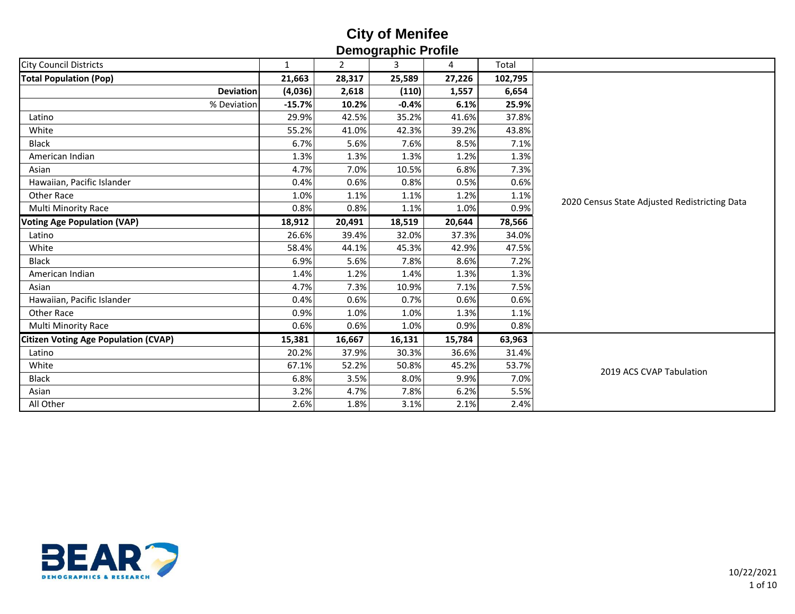| <b>Demographie i Tome</b>                   |              |                |         |        |         |                                               |  |  |  |  |
|---------------------------------------------|--------------|----------------|---------|--------|---------|-----------------------------------------------|--|--|--|--|
| <b>City Council Districts</b>               | $\mathbf{1}$ | $\overline{2}$ | 3       | 4      | Total   |                                               |  |  |  |  |
| <b>Total Population (Pop)</b>               | 21,663       | 28,317         | 25,589  | 27,226 | 102,795 |                                               |  |  |  |  |
| <b>Deviation</b>                            | (4,036)      | 2,618          | (110)   | 1,557  | 6,654   |                                               |  |  |  |  |
| % Deviation                                 | $-15.7%$     | 10.2%          | $-0.4%$ | 6.1%   | 25.9%   |                                               |  |  |  |  |
| Latino                                      | 29.9%        | 42.5%          | 35.2%   | 41.6%  | 37.8%   |                                               |  |  |  |  |
| White                                       | 55.2%        | 41.0%          | 42.3%   | 39.2%  | 43.8%   |                                               |  |  |  |  |
| <b>Black</b>                                | 6.7%         | 5.6%           | 7.6%    | 8.5%   | 7.1%    |                                               |  |  |  |  |
| American Indian                             | 1.3%         | 1.3%           | 1.3%    | 1.2%   | 1.3%    |                                               |  |  |  |  |
| Asian                                       | 4.7%         | 7.0%           | 10.5%   | 6.8%   | 7.3%    |                                               |  |  |  |  |
| Hawaiian, Pacific Islander                  | 0.4%         | 0.6%           | 0.8%    | 0.5%   | 0.6%    |                                               |  |  |  |  |
| Other Race                                  | 1.0%         | 1.1%           | 1.1%    | 1.2%   | 1.1%    | 2020 Census State Adjusted Redistricting Data |  |  |  |  |
| Multi Minority Race                         | 0.8%         | 0.8%           | 1.1%    | 1.0%   | 0.9%    |                                               |  |  |  |  |
| <b>Voting Age Population (VAP)</b>          | 18,912       | 20,491         | 18,519  | 20,644 | 78,566  |                                               |  |  |  |  |
| Latino                                      | 26.6%        | 39.4%          | 32.0%   | 37.3%  | 34.0%   |                                               |  |  |  |  |
| White                                       | 58.4%        | 44.1%          | 45.3%   | 42.9%  | 47.5%   |                                               |  |  |  |  |
| <b>Black</b>                                | 6.9%         | 5.6%           | 7.8%    | 8.6%   | 7.2%    |                                               |  |  |  |  |
| American Indian                             | 1.4%         | 1.2%           | 1.4%    | 1.3%   | 1.3%    |                                               |  |  |  |  |
| Asian                                       | 4.7%         | 7.3%           | 10.9%   | 7.1%   | 7.5%    |                                               |  |  |  |  |
| Hawaiian, Pacific Islander                  | 0.4%         | 0.6%           | 0.7%    | 0.6%   | 0.6%    |                                               |  |  |  |  |
| <b>Other Race</b>                           | 0.9%         | 1.0%           | 1.0%    | 1.3%   | 1.1%    |                                               |  |  |  |  |
| Multi Minority Race                         | 0.6%         | 0.6%           | 1.0%    | 0.9%   | 0.8%    |                                               |  |  |  |  |
| <b>Citizen Voting Age Population (CVAP)</b> | 15,381       | 16,667         | 16,131  | 15,784 | 63,963  |                                               |  |  |  |  |
| Latino                                      | 20.2%        | 37.9%          | 30.3%   | 36.6%  | 31.4%   |                                               |  |  |  |  |
| White                                       | 67.1%        | 52.2%          | 50.8%   | 45.2%  | 53.7%   | 2019 ACS CVAP Tabulation                      |  |  |  |  |
| <b>Black</b>                                | 6.8%         | 3.5%           | 8.0%    | 9.9%   | 7.0%    |                                               |  |  |  |  |
| Asian                                       | 3.2%         | 4.7%           | 7.8%    | 6.2%   | 5.5%    |                                               |  |  |  |  |
| All Other                                   | 2.6%         | 1.8%           | 3.1%    | 2.1%   | 2.4%    |                                               |  |  |  |  |

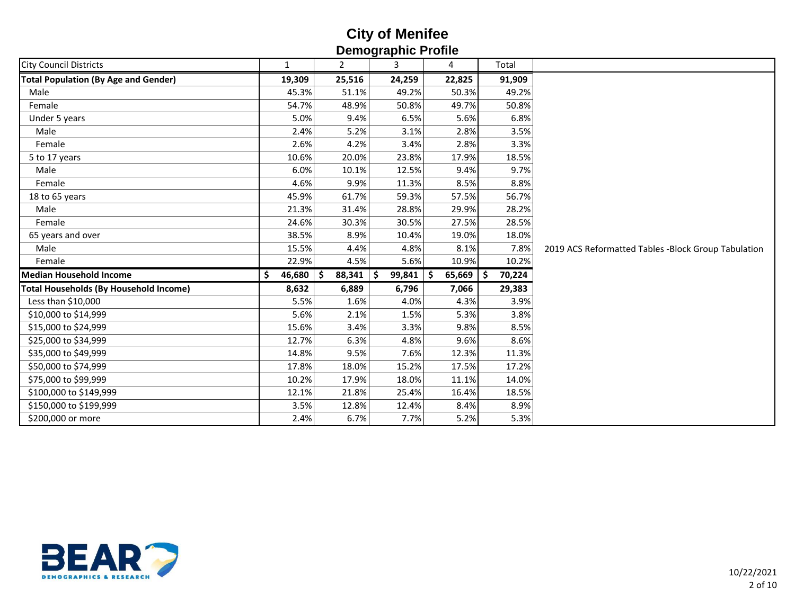| טוווטאָו עטווועשטע                            |              |                         |        |               |              |                                                     |  |  |  |  |
|-----------------------------------------------|--------------|-------------------------|--------|---------------|--------------|-----------------------------------------------------|--|--|--|--|
| <b>City Council Districts</b>                 | 1            | $\mathbf{2}^{\prime}$   | 3      | 4             | Total        |                                                     |  |  |  |  |
| <b>Total Population (By Age and Gender)</b>   | 19,309       | 25,516                  | 24,259 | 22,825        | 91,909       |                                                     |  |  |  |  |
| Male                                          | 45.3%        | 51.1%                   | 49.2%  | 50.3%         | 49.2%        |                                                     |  |  |  |  |
| Female                                        | 54.7%        | 48.9%                   | 50.8%  | 49.7%         | 50.8%        |                                                     |  |  |  |  |
| Under 5 years                                 | 5.0%         | 9.4%                    | 6.5%   | 5.6%          | 6.8%         |                                                     |  |  |  |  |
| Male                                          | 2.4%         | 5.2%                    | 3.1%   | 2.8%          | 3.5%         |                                                     |  |  |  |  |
| Female                                        | 2.6%         | 4.2%                    | 3.4%   | 2.8%          | 3.3%         |                                                     |  |  |  |  |
| 5 to 17 years                                 | 10.6%        | 20.0%                   | 23.8%  | 17.9%         | 18.5%        |                                                     |  |  |  |  |
| Male                                          | 6.0%         | 10.1%                   | 12.5%  | 9.4%          | 9.7%         |                                                     |  |  |  |  |
| Female                                        | 4.6%         | 9.9%                    | 11.3%  | 8.5%          | 8.8%         |                                                     |  |  |  |  |
| 18 to 65 years                                | 45.9%        | 61.7%                   | 59.3%  | 57.5%         | 56.7%        |                                                     |  |  |  |  |
| Male                                          | 21.3%        | 31.4%                   | 28.8%  | 29.9%         | 28.2%        |                                                     |  |  |  |  |
| Female                                        | 24.6%        | 30.3%                   | 30.5%  | 27.5%         | 28.5%        |                                                     |  |  |  |  |
| 65 years and over                             | 38.5%        | 8.9%                    | 10.4%  | 19.0%         | 18.0%        |                                                     |  |  |  |  |
| Male                                          | 15.5%        | 4.4%                    | 4.8%   | 8.1%          | 7.8%         | 2019 ACS Reformatted Tables -Block Group Tabulation |  |  |  |  |
| Female                                        | 22.9%        | 4.5%                    | 5.6%   | 10.9%         | 10.2%        |                                                     |  |  |  |  |
| <b>Median Household Income</b>                | 46,680<br>\$ | $88,341$ \$<br><b>S</b> | 99,841 | 65,669<br>- S | 70,224<br>-S |                                                     |  |  |  |  |
| <b>Total Households (By Household Income)</b> | 8,632        | 6,889                   | 6,796  | 7,066         | 29,383       |                                                     |  |  |  |  |
| Less than \$10,000                            | 5.5%         | 1.6%                    | 4.0%   | 4.3%          | 3.9%         |                                                     |  |  |  |  |
| \$10,000 to \$14,999                          | 5.6%         | 2.1%                    | 1.5%   | 5.3%          | 3.8%         |                                                     |  |  |  |  |
| \$15,000 to \$24,999                          | 15.6%        | 3.4%                    | 3.3%   | 9.8%          | 8.5%         |                                                     |  |  |  |  |
| \$25,000 to \$34,999                          | 12.7%        | 6.3%                    | 4.8%   | 9.6%          | 8.6%         |                                                     |  |  |  |  |
| \$35,000 to \$49,999                          | 14.8%        | 9.5%                    | 7.6%   | 12.3%         | 11.3%        |                                                     |  |  |  |  |
| \$50,000 to \$74,999                          | 17.8%        | 18.0%                   | 15.2%  | 17.5%         | 17.2%        |                                                     |  |  |  |  |
| \$75,000 to \$99,999                          | 10.2%        | 17.9%                   | 18.0%  | 11.1%         | 14.0%        |                                                     |  |  |  |  |
| \$100,000 to \$149,999                        | 12.1%        | 21.8%                   | 25.4%  | 16.4%         | 18.5%        |                                                     |  |  |  |  |
| \$150,000 to \$199,999                        | 3.5%         | 12.8%                   | 12.4%  | 8.4%          | 8.9%         |                                                     |  |  |  |  |
| \$200,000 or more                             | 2.4%         | 6.7%                    | 7.7%   | 5.2%          | 5.3%         |                                                     |  |  |  |  |
|                                               |              |                         |        |               |              |                                                     |  |  |  |  |

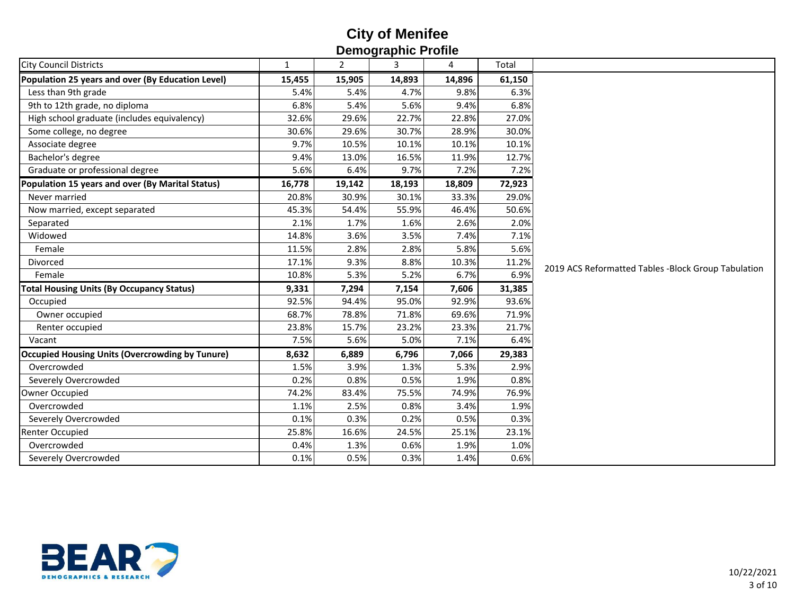| <b>City Council Districts</b><br>$\mathbf{2}$<br>4<br>Total<br>$\mathbf{1}$<br>3<br>Population 25 years and over (By Education Level)<br>15,905<br>14,896<br>15,455<br>14,893<br>61,150<br>6.3%<br>Less than 9th grade<br>5.4%<br>5.4%<br>4.7%<br>9.8%<br>9th to 12th grade, no diploma<br>6.8%<br>5.4%<br>6.8%<br>5.6%<br>9.4%<br>High school graduate (includes equivalency)<br>32.6%<br>29.6%<br>27.0%<br>22.7%<br>22.8%<br>30.6%<br>29.6%<br>28.9%<br>30.0%<br>Some college, no degree<br>30.7%<br>9.7%<br>10.5%<br>10.1%<br>Associate degree<br>10.1%<br>10.1%<br>Bachelor's degree<br>9.4%<br>13.0%<br>12.7%<br>16.5%<br>11.9%<br>Graduate or professional degree<br>5.6%<br>6.4%<br>9.7%<br>7.2%<br>7.2%<br>72,923<br>Population 15 years and over (By Marital Status)<br>16,778<br>19,142<br>18,193<br>18,809<br>30.9%<br>29.0%<br>Never married<br>30.1%<br>20.8%<br>33.3%<br>45.3%<br>54.4%<br>55.9%<br>46.4%<br>50.6%<br>Now married, except separated<br>2.1%<br>1.7%<br>2.6%<br>2.0%<br>1.6%<br>Separated<br>7.1%<br>14.8%<br>3.6%<br>3.5%<br>Widowed<br>7.4%<br>5.6%<br>11.5%<br>2.8%<br>2.8%<br>5.8%<br>Female<br>17.1%<br>9.3%<br>8.8%<br>10.3%<br>11.2%<br>Divorced<br>2019 ACS Reformatted Tables -Block Group Tabulation<br>6.9%<br>10.8%<br>5.3%<br>5.2%<br>6.7%<br>Female<br><b>Total Housing Units (By Occupancy Status)</b><br>9,331<br>7,294<br>7,154<br>7,606<br>31,385<br>94.4%<br>93.6%<br>Occupied<br>92.5%<br>95.0%<br>92.9%<br>78.8%<br>69.6%<br>71.9%<br>68.7%<br>71.8%<br>Owner occupied<br>Renter occupied<br>23.8%<br>15.7%<br>23.3%<br>21.7%<br>23.2%<br>7.5%<br>5.6%<br>5.0%<br>6.4%<br>7.1%<br>Vacant<br><b>Occupied Housing Units (Overcrowding by Tunure)</b><br>6,889<br>29,383<br>8,632<br>6,796<br>7,066<br>Overcrowded<br>1.5%<br>3.9%<br>5.3%<br>2.9%<br>1.3%<br>Severely Overcrowded<br>0.2%<br>0.8%<br>0.5%<br>0.8%<br>1.9%<br>Owner Occupied<br>74.2%<br>83.4%<br>75.5%<br>74.9%<br>76.9%<br>Overcrowded<br>2.5%<br>1.9%<br>1.1%<br>0.8%<br>3.4%<br>Severely Overcrowded<br>0.1%<br>0.3%<br>0.3%<br>0.2%<br>0.5%<br>25.8%<br>16.6%<br><b>Renter Occupied</b><br>24.5%<br>25.1%<br>23.1%<br>Overcrowded<br>0.4%<br>0.6%<br>1.0%<br>1.3%<br>1.9%<br>0.6%<br>0.5%<br>0.3%<br>Severely Overcrowded<br>0.1%<br>1.4% | טוווטן ו טווועשוער |  |  |  |  |  |  |  |  |  |  |
|---------------------------------------------------------------------------------------------------------------------------------------------------------------------------------------------------------------------------------------------------------------------------------------------------------------------------------------------------------------------------------------------------------------------------------------------------------------------------------------------------------------------------------------------------------------------------------------------------------------------------------------------------------------------------------------------------------------------------------------------------------------------------------------------------------------------------------------------------------------------------------------------------------------------------------------------------------------------------------------------------------------------------------------------------------------------------------------------------------------------------------------------------------------------------------------------------------------------------------------------------------------------------------------------------------------------------------------------------------------------------------------------------------------------------------------------------------------------------------------------------------------------------------------------------------------------------------------------------------------------------------------------------------------------------------------------------------------------------------------------------------------------------------------------------------------------------------------------------------------------------------------------------------------------------------------------------------------------------------------------------------------------------------------------------------------------------------------------------------------------------------------------------------------------------------------------------------------------------------------------------------------|--------------------|--|--|--|--|--|--|--|--|--|--|
|                                                                                                                                                                                                                                                                                                                                                                                                                                                                                                                                                                                                                                                                                                                                                                                                                                                                                                                                                                                                                                                                                                                                                                                                                                                                                                                                                                                                                                                                                                                                                                                                                                                                                                                                                                                                                                                                                                                                                                                                                                                                                                                                                                                                                                                               |                    |  |  |  |  |  |  |  |  |  |  |
|                                                                                                                                                                                                                                                                                                                                                                                                                                                                                                                                                                                                                                                                                                                                                                                                                                                                                                                                                                                                                                                                                                                                                                                                                                                                                                                                                                                                                                                                                                                                                                                                                                                                                                                                                                                                                                                                                                                                                                                                                                                                                                                                                                                                                                                               |                    |  |  |  |  |  |  |  |  |  |  |
|                                                                                                                                                                                                                                                                                                                                                                                                                                                                                                                                                                                                                                                                                                                                                                                                                                                                                                                                                                                                                                                                                                                                                                                                                                                                                                                                                                                                                                                                                                                                                                                                                                                                                                                                                                                                                                                                                                                                                                                                                                                                                                                                                                                                                                                               |                    |  |  |  |  |  |  |  |  |  |  |
|                                                                                                                                                                                                                                                                                                                                                                                                                                                                                                                                                                                                                                                                                                                                                                                                                                                                                                                                                                                                                                                                                                                                                                                                                                                                                                                                                                                                                                                                                                                                                                                                                                                                                                                                                                                                                                                                                                                                                                                                                                                                                                                                                                                                                                                               |                    |  |  |  |  |  |  |  |  |  |  |
|                                                                                                                                                                                                                                                                                                                                                                                                                                                                                                                                                                                                                                                                                                                                                                                                                                                                                                                                                                                                                                                                                                                                                                                                                                                                                                                                                                                                                                                                                                                                                                                                                                                                                                                                                                                                                                                                                                                                                                                                                                                                                                                                                                                                                                                               |                    |  |  |  |  |  |  |  |  |  |  |
|                                                                                                                                                                                                                                                                                                                                                                                                                                                                                                                                                                                                                                                                                                                                                                                                                                                                                                                                                                                                                                                                                                                                                                                                                                                                                                                                                                                                                                                                                                                                                                                                                                                                                                                                                                                                                                                                                                                                                                                                                                                                                                                                                                                                                                                               |                    |  |  |  |  |  |  |  |  |  |  |
|                                                                                                                                                                                                                                                                                                                                                                                                                                                                                                                                                                                                                                                                                                                                                                                                                                                                                                                                                                                                                                                                                                                                                                                                                                                                                                                                                                                                                                                                                                                                                                                                                                                                                                                                                                                                                                                                                                                                                                                                                                                                                                                                                                                                                                                               |                    |  |  |  |  |  |  |  |  |  |  |
|                                                                                                                                                                                                                                                                                                                                                                                                                                                                                                                                                                                                                                                                                                                                                                                                                                                                                                                                                                                                                                                                                                                                                                                                                                                                                                                                                                                                                                                                                                                                                                                                                                                                                                                                                                                                                                                                                                                                                                                                                                                                                                                                                                                                                                                               |                    |  |  |  |  |  |  |  |  |  |  |
|                                                                                                                                                                                                                                                                                                                                                                                                                                                                                                                                                                                                                                                                                                                                                                                                                                                                                                                                                                                                                                                                                                                                                                                                                                                                                                                                                                                                                                                                                                                                                                                                                                                                                                                                                                                                                                                                                                                                                                                                                                                                                                                                                                                                                                                               |                    |  |  |  |  |  |  |  |  |  |  |
|                                                                                                                                                                                                                                                                                                                                                                                                                                                                                                                                                                                                                                                                                                                                                                                                                                                                                                                                                                                                                                                                                                                                                                                                                                                                                                                                                                                                                                                                                                                                                                                                                                                                                                                                                                                                                                                                                                                                                                                                                                                                                                                                                                                                                                                               |                    |  |  |  |  |  |  |  |  |  |  |
|                                                                                                                                                                                                                                                                                                                                                                                                                                                                                                                                                                                                                                                                                                                                                                                                                                                                                                                                                                                                                                                                                                                                                                                                                                                                                                                                                                                                                                                                                                                                                                                                                                                                                                                                                                                                                                                                                                                                                                                                                                                                                                                                                                                                                                                               |                    |  |  |  |  |  |  |  |  |  |  |
|                                                                                                                                                                                                                                                                                                                                                                                                                                                                                                                                                                                                                                                                                                                                                                                                                                                                                                                                                                                                                                                                                                                                                                                                                                                                                                                                                                                                                                                                                                                                                                                                                                                                                                                                                                                                                                                                                                                                                                                                                                                                                                                                                                                                                                                               |                    |  |  |  |  |  |  |  |  |  |  |
|                                                                                                                                                                                                                                                                                                                                                                                                                                                                                                                                                                                                                                                                                                                                                                                                                                                                                                                                                                                                                                                                                                                                                                                                                                                                                                                                                                                                                                                                                                                                                                                                                                                                                                                                                                                                                                                                                                                                                                                                                                                                                                                                                                                                                                                               |                    |  |  |  |  |  |  |  |  |  |  |
|                                                                                                                                                                                                                                                                                                                                                                                                                                                                                                                                                                                                                                                                                                                                                                                                                                                                                                                                                                                                                                                                                                                                                                                                                                                                                                                                                                                                                                                                                                                                                                                                                                                                                                                                                                                                                                                                                                                                                                                                                                                                                                                                                                                                                                                               |                    |  |  |  |  |  |  |  |  |  |  |
|                                                                                                                                                                                                                                                                                                                                                                                                                                                                                                                                                                                                                                                                                                                                                                                                                                                                                                                                                                                                                                                                                                                                                                                                                                                                                                                                                                                                                                                                                                                                                                                                                                                                                                                                                                                                                                                                                                                                                                                                                                                                                                                                                                                                                                                               |                    |  |  |  |  |  |  |  |  |  |  |
|                                                                                                                                                                                                                                                                                                                                                                                                                                                                                                                                                                                                                                                                                                                                                                                                                                                                                                                                                                                                                                                                                                                                                                                                                                                                                                                                                                                                                                                                                                                                                                                                                                                                                                                                                                                                                                                                                                                                                                                                                                                                                                                                                                                                                                                               |                    |  |  |  |  |  |  |  |  |  |  |
|                                                                                                                                                                                                                                                                                                                                                                                                                                                                                                                                                                                                                                                                                                                                                                                                                                                                                                                                                                                                                                                                                                                                                                                                                                                                                                                                                                                                                                                                                                                                                                                                                                                                                                                                                                                                                                                                                                                                                                                                                                                                                                                                                                                                                                                               |                    |  |  |  |  |  |  |  |  |  |  |
|                                                                                                                                                                                                                                                                                                                                                                                                                                                                                                                                                                                                                                                                                                                                                                                                                                                                                                                                                                                                                                                                                                                                                                                                                                                                                                                                                                                                                                                                                                                                                                                                                                                                                                                                                                                                                                                                                                                                                                                                                                                                                                                                                                                                                                                               |                    |  |  |  |  |  |  |  |  |  |  |
|                                                                                                                                                                                                                                                                                                                                                                                                                                                                                                                                                                                                                                                                                                                                                                                                                                                                                                                                                                                                                                                                                                                                                                                                                                                                                                                                                                                                                                                                                                                                                                                                                                                                                                                                                                                                                                                                                                                                                                                                                                                                                                                                                                                                                                                               |                    |  |  |  |  |  |  |  |  |  |  |
|                                                                                                                                                                                                                                                                                                                                                                                                                                                                                                                                                                                                                                                                                                                                                                                                                                                                                                                                                                                                                                                                                                                                                                                                                                                                                                                                                                                                                                                                                                                                                                                                                                                                                                                                                                                                                                                                                                                                                                                                                                                                                                                                                                                                                                                               |                    |  |  |  |  |  |  |  |  |  |  |
|                                                                                                                                                                                                                                                                                                                                                                                                                                                                                                                                                                                                                                                                                                                                                                                                                                                                                                                                                                                                                                                                                                                                                                                                                                                                                                                                                                                                                                                                                                                                                                                                                                                                                                                                                                                                                                                                                                                                                                                                                                                                                                                                                                                                                                                               |                    |  |  |  |  |  |  |  |  |  |  |
|                                                                                                                                                                                                                                                                                                                                                                                                                                                                                                                                                                                                                                                                                                                                                                                                                                                                                                                                                                                                                                                                                                                                                                                                                                                                                                                                                                                                                                                                                                                                                                                                                                                                                                                                                                                                                                                                                                                                                                                                                                                                                                                                                                                                                                                               |                    |  |  |  |  |  |  |  |  |  |  |
|                                                                                                                                                                                                                                                                                                                                                                                                                                                                                                                                                                                                                                                                                                                                                                                                                                                                                                                                                                                                                                                                                                                                                                                                                                                                                                                                                                                                                                                                                                                                                                                                                                                                                                                                                                                                                                                                                                                                                                                                                                                                                                                                                                                                                                                               |                    |  |  |  |  |  |  |  |  |  |  |
|                                                                                                                                                                                                                                                                                                                                                                                                                                                                                                                                                                                                                                                                                                                                                                                                                                                                                                                                                                                                                                                                                                                                                                                                                                                                                                                                                                                                                                                                                                                                                                                                                                                                                                                                                                                                                                                                                                                                                                                                                                                                                                                                                                                                                                                               |                    |  |  |  |  |  |  |  |  |  |  |
|                                                                                                                                                                                                                                                                                                                                                                                                                                                                                                                                                                                                                                                                                                                                                                                                                                                                                                                                                                                                                                                                                                                                                                                                                                                                                                                                                                                                                                                                                                                                                                                                                                                                                                                                                                                                                                                                                                                                                                                                                                                                                                                                                                                                                                                               |                    |  |  |  |  |  |  |  |  |  |  |
|                                                                                                                                                                                                                                                                                                                                                                                                                                                                                                                                                                                                                                                                                                                                                                                                                                                                                                                                                                                                                                                                                                                                                                                                                                                                                                                                                                                                                                                                                                                                                                                                                                                                                                                                                                                                                                                                                                                                                                                                                                                                                                                                                                                                                                                               |                    |  |  |  |  |  |  |  |  |  |  |
|                                                                                                                                                                                                                                                                                                                                                                                                                                                                                                                                                                                                                                                                                                                                                                                                                                                                                                                                                                                                                                                                                                                                                                                                                                                                                                                                                                                                                                                                                                                                                                                                                                                                                                                                                                                                                                                                                                                                                                                                                                                                                                                                                                                                                                                               |                    |  |  |  |  |  |  |  |  |  |  |
|                                                                                                                                                                                                                                                                                                                                                                                                                                                                                                                                                                                                                                                                                                                                                                                                                                                                                                                                                                                                                                                                                                                                                                                                                                                                                                                                                                                                                                                                                                                                                                                                                                                                                                                                                                                                                                                                                                                                                                                                                                                                                                                                                                                                                                                               |                    |  |  |  |  |  |  |  |  |  |  |
|                                                                                                                                                                                                                                                                                                                                                                                                                                                                                                                                                                                                                                                                                                                                                                                                                                                                                                                                                                                                                                                                                                                                                                                                                                                                                                                                                                                                                                                                                                                                                                                                                                                                                                                                                                                                                                                                                                                                                                                                                                                                                                                                                                                                                                                               |                    |  |  |  |  |  |  |  |  |  |  |
|                                                                                                                                                                                                                                                                                                                                                                                                                                                                                                                                                                                                                                                                                                                                                                                                                                                                                                                                                                                                                                                                                                                                                                                                                                                                                                                                                                                                                                                                                                                                                                                                                                                                                                                                                                                                                                                                                                                                                                                                                                                                                                                                                                                                                                                               |                    |  |  |  |  |  |  |  |  |  |  |
|                                                                                                                                                                                                                                                                                                                                                                                                                                                                                                                                                                                                                                                                                                                                                                                                                                                                                                                                                                                                                                                                                                                                                                                                                                                                                                                                                                                                                                                                                                                                                                                                                                                                                                                                                                                                                                                                                                                                                                                                                                                                                                                                                                                                                                                               |                    |  |  |  |  |  |  |  |  |  |  |

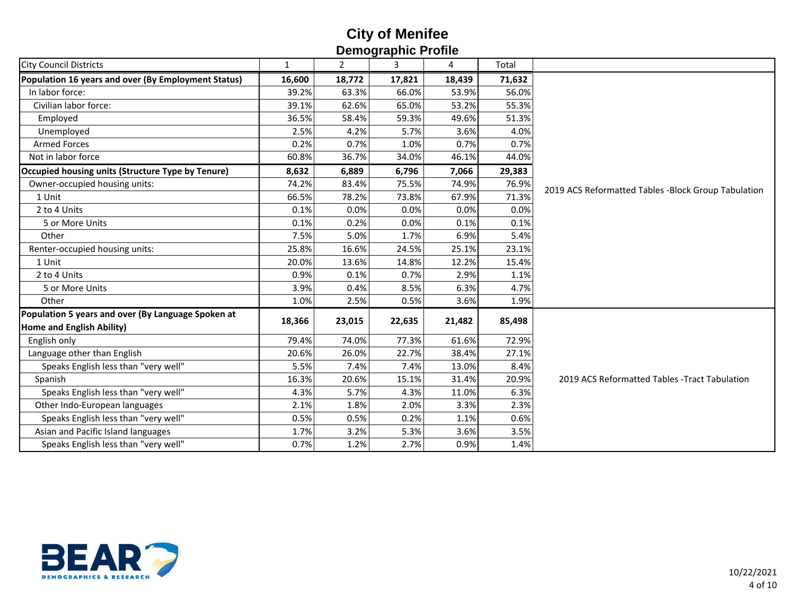| Ponograpnio i Tonio                                 |        |                |        |        |        |                                                     |  |  |  |  |
|-----------------------------------------------------|--------|----------------|--------|--------|--------|-----------------------------------------------------|--|--|--|--|
| <b>City Council Districts</b>                       | 1      | $\overline{2}$ | 3      | 4      | Total  |                                                     |  |  |  |  |
| Population 16 years and over (By Employment Status) | 16,600 | 18,772         | 17,821 | 18,439 | 71,632 |                                                     |  |  |  |  |
| In labor force:                                     | 39.2%  | 63.3%          | 66.0%  | 53.9%  | 56.0%  |                                                     |  |  |  |  |
| Civilian labor force:                               | 39.1%  | 62.6%          | 65.0%  | 53.2%  | 55.3%  |                                                     |  |  |  |  |
| Employed                                            | 36.5%  | 58.4%          | 59.3%  | 49.6%  | 51.3%  |                                                     |  |  |  |  |
| Unemployed                                          | 2.5%   | 4.2%           | 5.7%   | 3.6%   | 4.0%   |                                                     |  |  |  |  |
| <b>Armed Forces</b>                                 | 0.2%   | 0.7%           | 1.0%   | 0.7%   | 0.7%   |                                                     |  |  |  |  |
| Not in labor force                                  | 60.8%  | 36.7%          | 34.0%  | 46.1%  | 44.0%  |                                                     |  |  |  |  |
| Occupied housing units (Structure Type by Tenure)   | 8,632  | 6,889          | 6,796  | 7,066  | 29,383 |                                                     |  |  |  |  |
| Owner-occupied housing units:                       | 74.2%  | 83.4%          | 75.5%  | 74.9%  | 76.9%  | 2019 ACS Reformatted Tables -Block Group Tabulation |  |  |  |  |
| 1 Unit                                              | 66.5%  | 78.2%          | 73.8%  | 67.9%  | 71.3%  |                                                     |  |  |  |  |
| 2 to 4 Units                                        | 0.1%   | 0.0%           | 0.0%   | 0.0%   | 0.0%   |                                                     |  |  |  |  |
| 5 or More Units                                     | 0.1%   | 0.2%           | 0.0%   | 0.1%   | 0.1%   |                                                     |  |  |  |  |
| Other                                               | 7.5%   | 5.0%           | 1.7%   | 6.9%   | 5.4%   |                                                     |  |  |  |  |
| Renter-occupied housing units:                      | 25.8%  | 16.6%          | 24.5%  | 25.1%  | 23.1%  |                                                     |  |  |  |  |
| 1 Unit                                              | 20.0%  | 13.6%          | 14.8%  | 12.2%  | 15.4%  |                                                     |  |  |  |  |
| 2 to 4 Units                                        | 0.9%   | 0.1%           | 0.7%   | 2.9%   | 1.1%   |                                                     |  |  |  |  |
| 5 or More Units                                     | 3.9%   | 0.4%           | 8.5%   | 6.3%   | 4.7%   |                                                     |  |  |  |  |
| Other                                               | 1.0%   | 2.5%           | 0.5%   | 3.6%   | 1.9%   |                                                     |  |  |  |  |
| Population 5 years and over (By Language Spoken at  | 18,366 |                |        |        |        |                                                     |  |  |  |  |
| Home and English Ability)                           |        | 23,015         | 22,635 | 21,482 | 85,498 |                                                     |  |  |  |  |
| English only                                        | 79.4%  | 74.0%          | 77.3%  | 61.6%  | 72.9%  |                                                     |  |  |  |  |
| Language other than English                         | 20.6%  | 26.0%          | 22.7%  | 38.4%  | 27.1%  |                                                     |  |  |  |  |
| Speaks English less than "very well"                | 5.5%   | 7.4%           | 7.4%   | 13.0%  | 8.4%   |                                                     |  |  |  |  |
| Spanish                                             | 16.3%  | 20.6%          | 15.1%  | 31.4%  | 20.9%  | 2019 ACS Reformatted Tables - Tract Tabulation      |  |  |  |  |
| Speaks English less than "very well"                | 4.3%   | 5.7%           | 4.3%   | 11.0%  | 6.3%   |                                                     |  |  |  |  |
| Other Indo-European languages                       | 2.1%   | 1.8%           | 2.0%   | 3.3%   | 2.3%   |                                                     |  |  |  |  |
| Speaks English less than "very well"                | 0.5%   | 0.5%           | 0.2%   | 1.1%   | 0.6%   |                                                     |  |  |  |  |
| Asian and Pacific Island languages                  | 1.7%   | 3.2%           | 5.3%   | 3.6%   | 3.5%   |                                                     |  |  |  |  |
| Speaks English less than "very well"                | 0.7%   | 1.2%           | 2.7%   | 0.9%   | 1.4%   |                                                     |  |  |  |  |

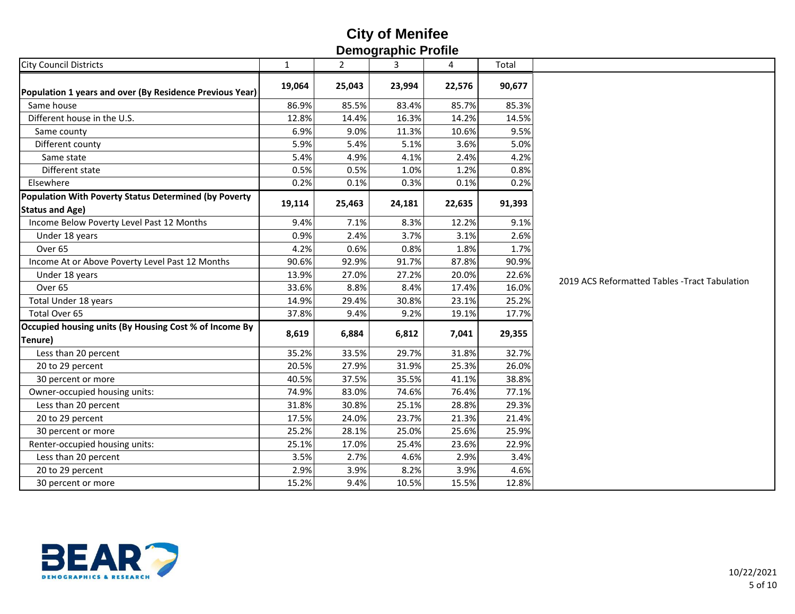| סוווטין ו טווועשועט                                                             |              |                |        |        |        |                                                |  |  |  |  |
|---------------------------------------------------------------------------------|--------------|----------------|--------|--------|--------|------------------------------------------------|--|--|--|--|
| <b>City Council Districts</b>                                                   | $\mathbf{1}$ | $\overline{2}$ | 3      | 4      | Total  |                                                |  |  |  |  |
| Population 1 years and over (By Residence Previous Year)                        | 19,064       | 25,043         | 23,994 | 22,576 | 90,677 |                                                |  |  |  |  |
| Same house                                                                      | 86.9%        | 85.5%          | 83.4%  | 85.7%  | 85.3%  |                                                |  |  |  |  |
| Different house in the U.S.                                                     | 12.8%        | 14.4%          | 16.3%  | 14.2%  | 14.5%  |                                                |  |  |  |  |
| Same county                                                                     | 6.9%         | 9.0%           | 11.3%  | 10.6%  | 9.5%   |                                                |  |  |  |  |
| Different county                                                                | 5.9%         | 5.4%           | 5.1%   | 3.6%   | 5.0%   |                                                |  |  |  |  |
| Same state                                                                      | 5.4%         | 4.9%           | 4.1%   | 2.4%   | 4.2%   |                                                |  |  |  |  |
| Different state                                                                 | 0.5%         | 0.5%           | 1.0%   | 1.2%   | 0.8%   |                                                |  |  |  |  |
| Elsewhere                                                                       | 0.2%         | 0.1%           | 0.3%   | 0.1%   | 0.2%   |                                                |  |  |  |  |
| Population With Poverty Status Determined (by Poverty<br><b>Status and Age)</b> | 19,114       | 25,463         | 24,181 | 22,635 | 91,393 |                                                |  |  |  |  |
| Income Below Poverty Level Past 12 Months                                       | 9.4%         | 7.1%           | 8.3%   | 12.2%  | 9.1%   |                                                |  |  |  |  |
| Under 18 years                                                                  | 0.9%         | 2.4%           | 3.7%   | 3.1%   | 2.6%   |                                                |  |  |  |  |
| Over <sub>65</sub>                                                              | 4.2%         | 0.6%           | 0.8%   | 1.8%   | 1.7%   |                                                |  |  |  |  |
| Income At or Above Poverty Level Past 12 Months                                 | 90.6%        | 92.9%          | 91.7%  | 87.8%  | 90.9%  |                                                |  |  |  |  |
| Under 18 years                                                                  | 13.9%        | 27.0%          | 27.2%  | 20.0%  | 22.6%  | 2019 ACS Reformatted Tables - Tract Tabulation |  |  |  |  |
| Over <sub>65</sub>                                                              | 33.6%        | 8.8%           | 8.4%   | 17.4%  | 16.0%  |                                                |  |  |  |  |
| Total Under 18 years                                                            | 14.9%        | 29.4%          | 30.8%  | 23.1%  | 25.2%  |                                                |  |  |  |  |
| Total Over 65                                                                   | 37.8%        | 9.4%           | 9.2%   | 19.1%  | 17.7%  |                                                |  |  |  |  |
| Occupied housing units (By Housing Cost % of Income By<br>Tenure)               | 8,619        | 6,884          | 6,812  | 7,041  | 29,355 |                                                |  |  |  |  |
| Less than 20 percent                                                            | 35.2%        | 33.5%          | 29.7%  | 31.8%  | 32.7%  |                                                |  |  |  |  |
| 20 to 29 percent                                                                | 20.5%        | 27.9%          | 31.9%  | 25.3%  | 26.0%  |                                                |  |  |  |  |
| 30 percent or more                                                              | 40.5%        | 37.5%          | 35.5%  | 41.1%  | 38.8%  |                                                |  |  |  |  |
| Owner-occupied housing units:                                                   | 74.9%        | 83.0%          | 74.6%  | 76.4%  | 77.1%  |                                                |  |  |  |  |
| Less than 20 percent                                                            | 31.8%        | 30.8%          | 25.1%  | 28.8%  | 29.3%  |                                                |  |  |  |  |
| 20 to 29 percent                                                                | 17.5%        | 24.0%          | 23.7%  | 21.3%  | 21.4%  |                                                |  |  |  |  |
| 30 percent or more                                                              | 25.2%        | 28.1%          | 25.0%  | 25.6%  | 25.9%  |                                                |  |  |  |  |
| Renter-occupied housing units:                                                  | 25.1%        | 17.0%          | 25.4%  | 23.6%  | 22.9%  |                                                |  |  |  |  |
| Less than 20 percent                                                            | 3.5%         | 2.7%           | 4.6%   | 2.9%   | 3.4%   |                                                |  |  |  |  |
| 20 to 29 percent                                                                | 2.9%         | 3.9%           | 8.2%   | 3.9%   | 4.6%   |                                                |  |  |  |  |
| 30 percent or more                                                              | 15.2%        | 9.4%           | 10.5%  | 15.5%  | 12.8%  |                                                |  |  |  |  |

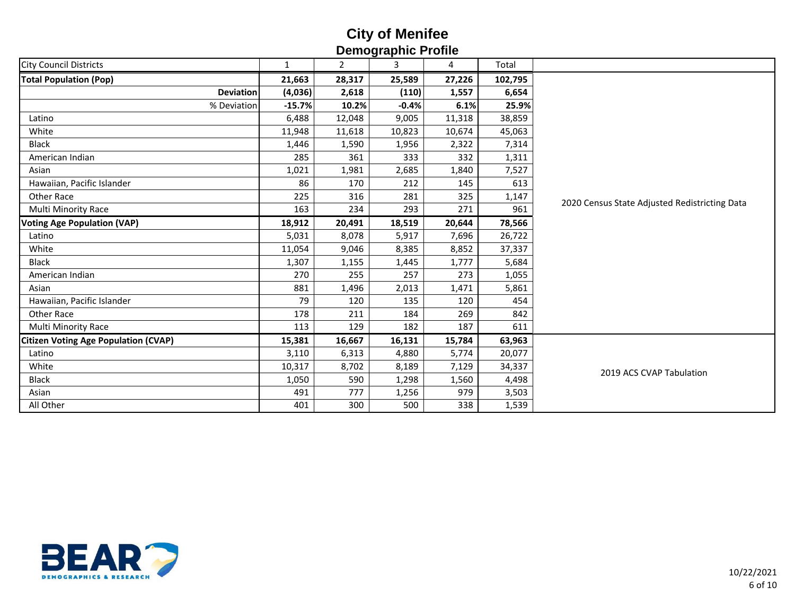| <b>Delling deline i</b> Tollie              |              |                |         |        |         |                                               |  |  |  |  |
|---------------------------------------------|--------------|----------------|---------|--------|---------|-----------------------------------------------|--|--|--|--|
| <b>City Council Districts</b>               | $\mathbf{1}$ | $\overline{2}$ | 3       | 4      | Total   |                                               |  |  |  |  |
| <b>Total Population (Pop)</b>               | 21,663       | 28,317         | 25,589  | 27,226 | 102,795 |                                               |  |  |  |  |
| <b>Deviation</b>                            | (4,036)      | 2,618          | (110)   | 1,557  | 6,654   |                                               |  |  |  |  |
| % Deviation                                 | $-15.7%$     | 10.2%          | $-0.4%$ | 6.1%   | 25.9%   |                                               |  |  |  |  |
| Latino                                      | 6,488        | 12,048         | 9,005   | 11,318 | 38,859  |                                               |  |  |  |  |
| White                                       | 11,948       | 11,618         | 10,823  | 10,674 | 45,063  |                                               |  |  |  |  |
| <b>Black</b>                                | 1,446        | 1,590          | 1,956   | 2,322  | 7,314   |                                               |  |  |  |  |
| American Indian                             | 285          | 361            | 333     | 332    | 1,311   |                                               |  |  |  |  |
| Asian                                       | 1,021        | 1,981          | 2,685   | 1,840  | 7,527   |                                               |  |  |  |  |
| Hawaiian, Pacific Islander                  | 86           | 170            | 212     | 145    | 613     |                                               |  |  |  |  |
| Other Race                                  | 225          | 316            | 281     | 325    | 1,147   | 2020 Census State Adjusted Redistricting Data |  |  |  |  |
| Multi Minority Race                         | 163          | 234            | 293     | 271    | 961     |                                               |  |  |  |  |
| <b>Voting Age Population (VAP)</b>          | 18,912       | 20,491         | 18,519  | 20,644 | 78,566  |                                               |  |  |  |  |
| Latino                                      | 5,031        | 8,078          | 5,917   | 7,696  | 26,722  |                                               |  |  |  |  |
| White                                       | 11,054       | 9,046          | 8,385   | 8,852  | 37,337  |                                               |  |  |  |  |
| <b>Black</b>                                | 1,307        | 1,155          | 1,445   | 1,777  | 5,684   |                                               |  |  |  |  |
| American Indian                             | 270          | 255            | 257     | 273    | 1,055   |                                               |  |  |  |  |
| Asian                                       | 881          | 1,496          | 2,013   | 1,471  | 5,861   |                                               |  |  |  |  |
| Hawaiian, Pacific Islander                  | 79           | 120            | 135     | 120    | 454     |                                               |  |  |  |  |
| Other Race                                  | 178          | 211            | 184     | 269    | 842     |                                               |  |  |  |  |
| Multi Minority Race                         | 113          | 129            | 182     | 187    | 611     |                                               |  |  |  |  |
| <b>Citizen Voting Age Population (CVAP)</b> | 15,381       | 16,667         | 16,131  | 15,784 | 63,963  |                                               |  |  |  |  |
| Latino                                      | 3,110        | 6,313          | 4,880   | 5,774  | 20,077  |                                               |  |  |  |  |
| White                                       | 10,317       | 8,702          | 8,189   | 7,129  | 34,337  | 2019 ACS CVAP Tabulation                      |  |  |  |  |
| <b>Black</b>                                | 1,050        | 590            | 1,298   | 1,560  | 4,498   |                                               |  |  |  |  |
| Asian                                       | 491          | 777            | 1,256   | 979    | 3,503   |                                               |  |  |  |  |
| All Other                                   | 401          | 300            | 500     | 338    | 1,539   |                                               |  |  |  |  |

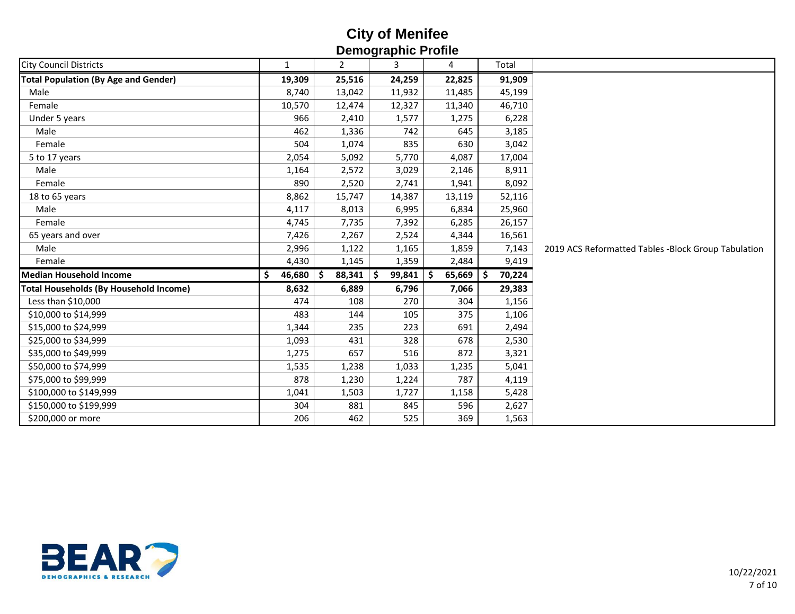| Demographio i Tome                          |              |                    |               |              |              |                                                     |  |  |  |  |
|---------------------------------------------|--------------|--------------------|---------------|--------------|--------------|-----------------------------------------------------|--|--|--|--|
| <b>City Council Districts</b>               | 1            | $\mathbf{2}$       | 3             | 4            | Total        |                                                     |  |  |  |  |
| <b>Total Population (By Age and Gender)</b> | 19,309       | 25,516             | 24,259        | 22,825       | 91,909       |                                                     |  |  |  |  |
| Male                                        | 8,740        | 13,042             | 11,932        | 11,485       | 45,199       |                                                     |  |  |  |  |
| Female                                      | 10,570       | 12,474             | 12,327        | 11,340       | 46,710       |                                                     |  |  |  |  |
| Under 5 years                               | 966          | 2,410              | 1,577         | 1,275        | 6,228        |                                                     |  |  |  |  |
| Male                                        | 462          | 1,336              | 742           | 645          | 3,185        |                                                     |  |  |  |  |
| Female                                      | 504          | 1,074              | 835           | 630          | 3,042        |                                                     |  |  |  |  |
| 5 to 17 years                               | 2,054        | 5,092              | 5,770         | 4,087        | 17,004       |                                                     |  |  |  |  |
| Male                                        | 1,164        | 2,572              | 3,029         | 2,146        | 8,911        |                                                     |  |  |  |  |
| Female                                      | 890          | 2,520              | 2,741         | 1,941        | 8,092        |                                                     |  |  |  |  |
| 18 to 65 years                              | 8,862        | 15,747             | 14,387        | 13,119       | 52,116       |                                                     |  |  |  |  |
| Male                                        | 4,117        | 8,013              | 6,995         | 6,834        | 25,960       |                                                     |  |  |  |  |
| Female                                      | 4,745        | 7,735              | 7,392         | 6,285        | 26,157       |                                                     |  |  |  |  |
| 65 years and over                           | 7,426        | 2,267              | 2,524         | 4,344        | 16,561       |                                                     |  |  |  |  |
| Male                                        | 2,996        | 1,122              | 1,165         | 1,859        | 7,143        | 2019 ACS Reformatted Tables -Block Group Tabulation |  |  |  |  |
| Female                                      | 4,430        | 1,145              | 1,359         | 2,484        | 9,419        |                                                     |  |  |  |  |
| <b>Median Household Income</b>              | \$<br>46,680 | 88,341<br><b>S</b> | ∣\$<br>99,841 | 65,669<br>-S | 70,224<br>S. |                                                     |  |  |  |  |
| Total Households (By Household Income)      | 8,632        | 6,889              | 6,796         | 7,066        | 29,383       |                                                     |  |  |  |  |
| Less than \$10,000                          | 474          | 108                | 270           | 304          | 1,156        |                                                     |  |  |  |  |
| \$10,000 to \$14,999                        | 483          | 144                | 105           | 375          | 1,106        |                                                     |  |  |  |  |
| \$15,000 to \$24,999                        | 1,344        | 235                | 223           | 691          | 2,494        |                                                     |  |  |  |  |
| \$25,000 to \$34,999                        | 1,093        | 431                | 328           | 678          | 2,530        |                                                     |  |  |  |  |
| \$35,000 to \$49,999                        | 1,275        | 657                | 516           | 872          | 3,321        |                                                     |  |  |  |  |
| \$50,000 to \$74,999                        | 1,535        | 1,238              | 1,033         | 1,235        | 5,041        |                                                     |  |  |  |  |
| \$75,000 to \$99,999                        | 878          | 1,230              | 1,224         | 787          | 4,119        |                                                     |  |  |  |  |
| \$100,000 to \$149,999                      | 1,041        | 1,503              | 1,727         | 1,158        | 5,428        |                                                     |  |  |  |  |
| \$150,000 to \$199,999                      | 304          | 881                | 845           | 596          | 2,627        |                                                     |  |  |  |  |
| \$200,000 or more                           | 206          | 462                | 525           | 369          | 1,563        |                                                     |  |  |  |  |
|                                             |              |                    |               |              |              |                                                     |  |  |  |  |

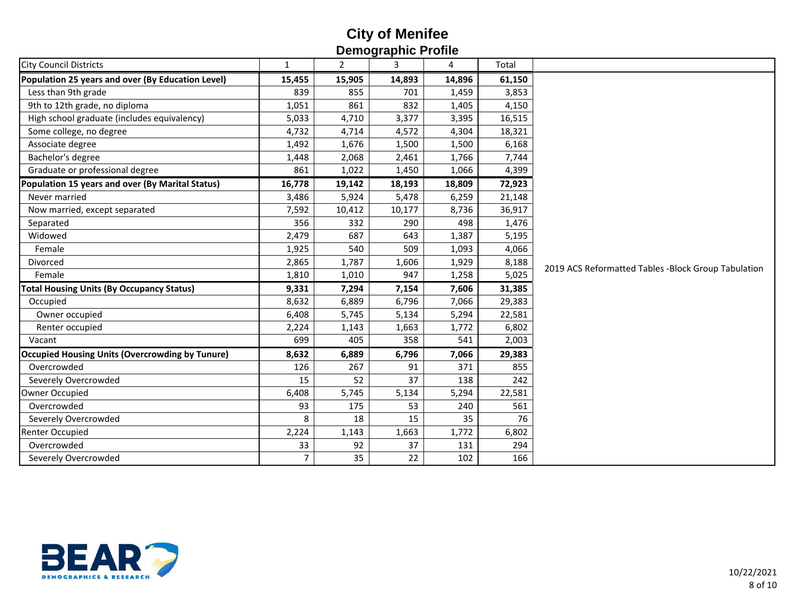| $\overline{2}$<br>3<br>4<br>Total<br>1<br>15,455<br>15,905<br>14,893<br>14,896<br>61,150<br>Less than 9th grade<br>839<br>701<br>1,459<br>3,853<br>855<br>9th to 12th grade, no diploma<br>1,051<br>861<br>832<br>4,150<br>1,405<br>High school graduate (includes equivalency)<br>5,033<br>4,710<br>3,377<br>3,395<br>16,515<br>Some college, no degree<br>4,732<br>4,572<br>18,321<br>4,714<br>4,304<br>Associate degree<br>1,492<br>1,676<br>1,500<br>1,500<br>6,168<br>Bachelor's degree<br>7,744<br>2,068<br>2,461<br>1,766<br>1,448<br>Graduate or professional degree<br>861<br>1,022<br>1,450<br>1,066<br>4,399<br>Population 15 years and over (By Marital Status)<br>16,778<br>18,193<br>72,923<br>19,142<br>18,809<br>Never married<br>3,486<br>5,478<br>5,924<br>6,259<br>21,148<br>7,592<br>8,736<br>36,917<br>Now married, except separated<br>10,412<br>10,177<br>Separated<br>356<br>332<br>290<br>498<br>1,476<br>2,479<br>687<br>643<br>Widowed<br>1,387<br>5,195<br>540<br>509<br>1,093<br>4,066<br>Female<br>1,925<br>1,787<br>Divorced<br>2,865<br>1,606<br>1,929<br>8,188<br>2019 ACS Reformatted Tables -Block Group Tabulation<br>Female<br>1,810<br>947<br>1,258<br>5,025<br>1,010<br><b>Total Housing Units (By Occupancy Status)</b><br>9,331<br>7,294<br>7,154<br>7,606<br>31,385<br>Occupied<br>8,632<br>6,889<br>6,796<br>7,066<br>29,383<br>6,408<br>5,745<br>5,134<br>5,294<br>22,581<br>Owner occupied<br>6,802<br>Renter occupied<br>2,224<br>1,663<br>1,772<br>1,143<br>699<br>405<br>358<br>541<br>2,003<br>Vacant<br>Occupied Housing Units (Overcrowding by Tunure)<br>8,632<br>6,889<br>6,796<br>7,066<br>29,383<br>Overcrowded<br>267<br>91<br>126<br>371<br>855<br>37<br>Severely Overcrowded<br>15<br>52<br>242<br>138<br>5,745<br>Owner Occupied<br>6,408<br>5,134<br>5,294<br>22,581<br>Overcrowded<br>93<br>53<br>561<br>175<br>240<br>15<br>Severely Overcrowded<br>8<br>18<br>35<br>76<br><b>Renter Occupied</b><br>2,224<br>1,143<br>1,663<br>1,772<br>6,802<br>Overcrowded<br>33<br>92<br>294<br>37<br>131<br>$\overline{7}$<br>35<br>Severely Overcrowded<br>22<br>166<br>102 | סוווטן דעוווקטווטש                                |  |  |  |  |  |  |  |  |  |  |
|---------------------------------------------------------------------------------------------------------------------------------------------------------------------------------------------------------------------------------------------------------------------------------------------------------------------------------------------------------------------------------------------------------------------------------------------------------------------------------------------------------------------------------------------------------------------------------------------------------------------------------------------------------------------------------------------------------------------------------------------------------------------------------------------------------------------------------------------------------------------------------------------------------------------------------------------------------------------------------------------------------------------------------------------------------------------------------------------------------------------------------------------------------------------------------------------------------------------------------------------------------------------------------------------------------------------------------------------------------------------------------------------------------------------------------------------------------------------------------------------------------------------------------------------------------------------------------------------------------------------------------------------------------------------------------------------------------------------------------------------------------------------------------------------------------------------------------------------------------------------------------------------------------------------------------------------------------------------------------------------------------------------------------------------------------------------------------------------------------------------------------|---------------------------------------------------|--|--|--|--|--|--|--|--|--|--|
|                                                                                                                                                                                                                                                                                                                                                                                                                                                                                                                                                                                                                                                                                                                                                                                                                                                                                                                                                                                                                                                                                                                                                                                                                                                                                                                                                                                                                                                                                                                                                                                                                                                                                                                                                                                                                                                                                                                                                                                                                                                                                                                                 | <b>City Council Districts</b>                     |  |  |  |  |  |  |  |  |  |  |
|                                                                                                                                                                                                                                                                                                                                                                                                                                                                                                                                                                                                                                                                                                                                                                                                                                                                                                                                                                                                                                                                                                                                                                                                                                                                                                                                                                                                                                                                                                                                                                                                                                                                                                                                                                                                                                                                                                                                                                                                                                                                                                                                 | Population 25 years and over (By Education Level) |  |  |  |  |  |  |  |  |  |  |
|                                                                                                                                                                                                                                                                                                                                                                                                                                                                                                                                                                                                                                                                                                                                                                                                                                                                                                                                                                                                                                                                                                                                                                                                                                                                                                                                                                                                                                                                                                                                                                                                                                                                                                                                                                                                                                                                                                                                                                                                                                                                                                                                 |                                                   |  |  |  |  |  |  |  |  |  |  |
|                                                                                                                                                                                                                                                                                                                                                                                                                                                                                                                                                                                                                                                                                                                                                                                                                                                                                                                                                                                                                                                                                                                                                                                                                                                                                                                                                                                                                                                                                                                                                                                                                                                                                                                                                                                                                                                                                                                                                                                                                                                                                                                                 |                                                   |  |  |  |  |  |  |  |  |  |  |
|                                                                                                                                                                                                                                                                                                                                                                                                                                                                                                                                                                                                                                                                                                                                                                                                                                                                                                                                                                                                                                                                                                                                                                                                                                                                                                                                                                                                                                                                                                                                                                                                                                                                                                                                                                                                                                                                                                                                                                                                                                                                                                                                 |                                                   |  |  |  |  |  |  |  |  |  |  |
|                                                                                                                                                                                                                                                                                                                                                                                                                                                                                                                                                                                                                                                                                                                                                                                                                                                                                                                                                                                                                                                                                                                                                                                                                                                                                                                                                                                                                                                                                                                                                                                                                                                                                                                                                                                                                                                                                                                                                                                                                                                                                                                                 |                                                   |  |  |  |  |  |  |  |  |  |  |
|                                                                                                                                                                                                                                                                                                                                                                                                                                                                                                                                                                                                                                                                                                                                                                                                                                                                                                                                                                                                                                                                                                                                                                                                                                                                                                                                                                                                                                                                                                                                                                                                                                                                                                                                                                                                                                                                                                                                                                                                                                                                                                                                 |                                                   |  |  |  |  |  |  |  |  |  |  |
|                                                                                                                                                                                                                                                                                                                                                                                                                                                                                                                                                                                                                                                                                                                                                                                                                                                                                                                                                                                                                                                                                                                                                                                                                                                                                                                                                                                                                                                                                                                                                                                                                                                                                                                                                                                                                                                                                                                                                                                                                                                                                                                                 |                                                   |  |  |  |  |  |  |  |  |  |  |
|                                                                                                                                                                                                                                                                                                                                                                                                                                                                                                                                                                                                                                                                                                                                                                                                                                                                                                                                                                                                                                                                                                                                                                                                                                                                                                                                                                                                                                                                                                                                                                                                                                                                                                                                                                                                                                                                                                                                                                                                                                                                                                                                 |                                                   |  |  |  |  |  |  |  |  |  |  |
|                                                                                                                                                                                                                                                                                                                                                                                                                                                                                                                                                                                                                                                                                                                                                                                                                                                                                                                                                                                                                                                                                                                                                                                                                                                                                                                                                                                                                                                                                                                                                                                                                                                                                                                                                                                                                                                                                                                                                                                                                                                                                                                                 |                                                   |  |  |  |  |  |  |  |  |  |  |
|                                                                                                                                                                                                                                                                                                                                                                                                                                                                                                                                                                                                                                                                                                                                                                                                                                                                                                                                                                                                                                                                                                                                                                                                                                                                                                                                                                                                                                                                                                                                                                                                                                                                                                                                                                                                                                                                                                                                                                                                                                                                                                                                 |                                                   |  |  |  |  |  |  |  |  |  |  |
|                                                                                                                                                                                                                                                                                                                                                                                                                                                                                                                                                                                                                                                                                                                                                                                                                                                                                                                                                                                                                                                                                                                                                                                                                                                                                                                                                                                                                                                                                                                                                                                                                                                                                                                                                                                                                                                                                                                                                                                                                                                                                                                                 |                                                   |  |  |  |  |  |  |  |  |  |  |
|                                                                                                                                                                                                                                                                                                                                                                                                                                                                                                                                                                                                                                                                                                                                                                                                                                                                                                                                                                                                                                                                                                                                                                                                                                                                                                                                                                                                                                                                                                                                                                                                                                                                                                                                                                                                                                                                                                                                                                                                                                                                                                                                 |                                                   |  |  |  |  |  |  |  |  |  |  |
|                                                                                                                                                                                                                                                                                                                                                                                                                                                                                                                                                                                                                                                                                                                                                                                                                                                                                                                                                                                                                                                                                                                                                                                                                                                                                                                                                                                                                                                                                                                                                                                                                                                                                                                                                                                                                                                                                                                                                                                                                                                                                                                                 |                                                   |  |  |  |  |  |  |  |  |  |  |
|                                                                                                                                                                                                                                                                                                                                                                                                                                                                                                                                                                                                                                                                                                                                                                                                                                                                                                                                                                                                                                                                                                                                                                                                                                                                                                                                                                                                                                                                                                                                                                                                                                                                                                                                                                                                                                                                                                                                                                                                                                                                                                                                 |                                                   |  |  |  |  |  |  |  |  |  |  |
|                                                                                                                                                                                                                                                                                                                                                                                                                                                                                                                                                                                                                                                                                                                                                                                                                                                                                                                                                                                                                                                                                                                                                                                                                                                                                                                                                                                                                                                                                                                                                                                                                                                                                                                                                                                                                                                                                                                                                                                                                                                                                                                                 |                                                   |  |  |  |  |  |  |  |  |  |  |
|                                                                                                                                                                                                                                                                                                                                                                                                                                                                                                                                                                                                                                                                                                                                                                                                                                                                                                                                                                                                                                                                                                                                                                                                                                                                                                                                                                                                                                                                                                                                                                                                                                                                                                                                                                                                                                                                                                                                                                                                                                                                                                                                 |                                                   |  |  |  |  |  |  |  |  |  |  |
|                                                                                                                                                                                                                                                                                                                                                                                                                                                                                                                                                                                                                                                                                                                                                                                                                                                                                                                                                                                                                                                                                                                                                                                                                                                                                                                                                                                                                                                                                                                                                                                                                                                                                                                                                                                                                                                                                                                                                                                                                                                                                                                                 |                                                   |  |  |  |  |  |  |  |  |  |  |
|                                                                                                                                                                                                                                                                                                                                                                                                                                                                                                                                                                                                                                                                                                                                                                                                                                                                                                                                                                                                                                                                                                                                                                                                                                                                                                                                                                                                                                                                                                                                                                                                                                                                                                                                                                                                                                                                                                                                                                                                                                                                                                                                 |                                                   |  |  |  |  |  |  |  |  |  |  |
|                                                                                                                                                                                                                                                                                                                                                                                                                                                                                                                                                                                                                                                                                                                                                                                                                                                                                                                                                                                                                                                                                                                                                                                                                                                                                                                                                                                                                                                                                                                                                                                                                                                                                                                                                                                                                                                                                                                                                                                                                                                                                                                                 |                                                   |  |  |  |  |  |  |  |  |  |  |
|                                                                                                                                                                                                                                                                                                                                                                                                                                                                                                                                                                                                                                                                                                                                                                                                                                                                                                                                                                                                                                                                                                                                                                                                                                                                                                                                                                                                                                                                                                                                                                                                                                                                                                                                                                                                                                                                                                                                                                                                                                                                                                                                 |                                                   |  |  |  |  |  |  |  |  |  |  |
|                                                                                                                                                                                                                                                                                                                                                                                                                                                                                                                                                                                                                                                                                                                                                                                                                                                                                                                                                                                                                                                                                                                                                                                                                                                                                                                                                                                                                                                                                                                                                                                                                                                                                                                                                                                                                                                                                                                                                                                                                                                                                                                                 |                                                   |  |  |  |  |  |  |  |  |  |  |
|                                                                                                                                                                                                                                                                                                                                                                                                                                                                                                                                                                                                                                                                                                                                                                                                                                                                                                                                                                                                                                                                                                                                                                                                                                                                                                                                                                                                                                                                                                                                                                                                                                                                                                                                                                                                                                                                                                                                                                                                                                                                                                                                 |                                                   |  |  |  |  |  |  |  |  |  |  |
|                                                                                                                                                                                                                                                                                                                                                                                                                                                                                                                                                                                                                                                                                                                                                                                                                                                                                                                                                                                                                                                                                                                                                                                                                                                                                                                                                                                                                                                                                                                                                                                                                                                                                                                                                                                                                                                                                                                                                                                                                                                                                                                                 |                                                   |  |  |  |  |  |  |  |  |  |  |
|                                                                                                                                                                                                                                                                                                                                                                                                                                                                                                                                                                                                                                                                                                                                                                                                                                                                                                                                                                                                                                                                                                                                                                                                                                                                                                                                                                                                                                                                                                                                                                                                                                                                                                                                                                                                                                                                                                                                                                                                                                                                                                                                 |                                                   |  |  |  |  |  |  |  |  |  |  |
|                                                                                                                                                                                                                                                                                                                                                                                                                                                                                                                                                                                                                                                                                                                                                                                                                                                                                                                                                                                                                                                                                                                                                                                                                                                                                                                                                                                                                                                                                                                                                                                                                                                                                                                                                                                                                                                                                                                                                                                                                                                                                                                                 |                                                   |  |  |  |  |  |  |  |  |  |  |
|                                                                                                                                                                                                                                                                                                                                                                                                                                                                                                                                                                                                                                                                                                                                                                                                                                                                                                                                                                                                                                                                                                                                                                                                                                                                                                                                                                                                                                                                                                                                                                                                                                                                                                                                                                                                                                                                                                                                                                                                                                                                                                                                 |                                                   |  |  |  |  |  |  |  |  |  |  |
|                                                                                                                                                                                                                                                                                                                                                                                                                                                                                                                                                                                                                                                                                                                                                                                                                                                                                                                                                                                                                                                                                                                                                                                                                                                                                                                                                                                                                                                                                                                                                                                                                                                                                                                                                                                                                                                                                                                                                                                                                                                                                                                                 |                                                   |  |  |  |  |  |  |  |  |  |  |
|                                                                                                                                                                                                                                                                                                                                                                                                                                                                                                                                                                                                                                                                                                                                                                                                                                                                                                                                                                                                                                                                                                                                                                                                                                                                                                                                                                                                                                                                                                                                                                                                                                                                                                                                                                                                                                                                                                                                                                                                                                                                                                                                 |                                                   |  |  |  |  |  |  |  |  |  |  |
|                                                                                                                                                                                                                                                                                                                                                                                                                                                                                                                                                                                                                                                                                                                                                                                                                                                                                                                                                                                                                                                                                                                                                                                                                                                                                                                                                                                                                                                                                                                                                                                                                                                                                                                                                                                                                                                                                                                                                                                                                                                                                                                                 |                                                   |  |  |  |  |  |  |  |  |  |  |
|                                                                                                                                                                                                                                                                                                                                                                                                                                                                                                                                                                                                                                                                                                                                                                                                                                                                                                                                                                                                                                                                                                                                                                                                                                                                                                                                                                                                                                                                                                                                                                                                                                                                                                                                                                                                                                                                                                                                                                                                                                                                                                                                 |                                                   |  |  |  |  |  |  |  |  |  |  |

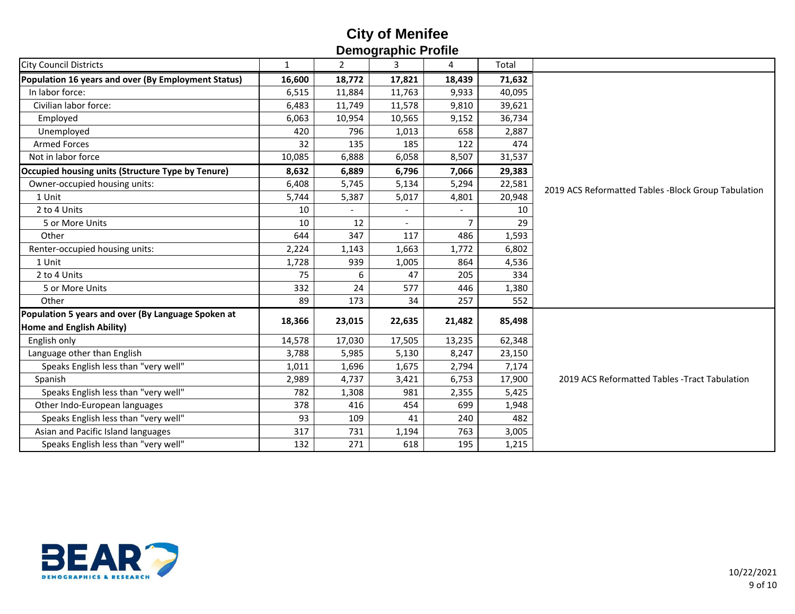| סוווטיו ו טווועשונוסט                                    |              |                |                |                |        |                                                     |  |  |  |  |
|----------------------------------------------------------|--------------|----------------|----------------|----------------|--------|-----------------------------------------------------|--|--|--|--|
| <b>City Council Districts</b>                            | $\mathbf{1}$ | $\overline{2}$ | 3              | 4              | Total  |                                                     |  |  |  |  |
| Population 16 years and over (By Employment Status)      | 16,600       | 18,772         | 17,821         | 18,439         | 71,632 |                                                     |  |  |  |  |
| In labor force:                                          | 6,515        | 11,884         | 11,763         | 9,933          | 40,095 |                                                     |  |  |  |  |
| Civilian labor force:                                    | 6,483        | 11,749         | 11,578         | 9,810          | 39,621 |                                                     |  |  |  |  |
| Employed                                                 | 6,063        | 10,954         | 10,565         | 9,152          | 36,734 |                                                     |  |  |  |  |
| Unemployed                                               | 420          | 796            | 1,013          | 658            | 2,887  |                                                     |  |  |  |  |
| <b>Armed Forces</b>                                      | 32           | 135            | 185            | 122            | 474    |                                                     |  |  |  |  |
| Not in labor force                                       | 10,085       | 6,888          | 6,058          | 8,507          | 31,537 |                                                     |  |  |  |  |
| <b>Occupied housing units (Structure Type by Tenure)</b> | 8,632        | 6,889          | 6,796          | 7,066          | 29,383 |                                                     |  |  |  |  |
| Owner-occupied housing units:                            | 6,408        | 5,745          | 5,134          | 5,294          | 22,581 | 2019 ACS Reformatted Tables -Block Group Tabulation |  |  |  |  |
| 1 Unit                                                   | 5,744        | 5,387          | 5,017          | 4,801          | 20,948 |                                                     |  |  |  |  |
| 2 to 4 Units                                             | 10           |                | $\overline{a}$ |                | 10     |                                                     |  |  |  |  |
| 5 or More Units                                          | 10           | 12             | $\blacksquare$ | $\overline{7}$ | 29     |                                                     |  |  |  |  |
| Other                                                    | 644          | 347            | 117            | 486            | 1,593  |                                                     |  |  |  |  |
| Renter-occupied housing units:                           | 2,224        | 1,143          | 1,663          | 1,772          | 6,802  |                                                     |  |  |  |  |
| 1 Unit                                                   | 1,728        | 939            | 1,005          | 864            | 4,536  |                                                     |  |  |  |  |
| 2 to 4 Units                                             | 75           | 6              | 47             | 205            | 334    |                                                     |  |  |  |  |
| 5 or More Units                                          | 332          | 24             | 577            | 446            | 1,380  |                                                     |  |  |  |  |
| Other                                                    | 89           | 173            | 34             | 257            | 552    |                                                     |  |  |  |  |
| Population 5 years and over (By Language Spoken at       | 18,366       | 23,015         | 22,635         | 21,482         | 85,498 |                                                     |  |  |  |  |
| <b>Home and English Ability)</b>                         |              |                |                |                |        |                                                     |  |  |  |  |
| English only                                             | 14,578       | 17,030         | 17,505         | 13,235         | 62,348 |                                                     |  |  |  |  |
| Language other than English                              | 3,788        | 5,985          | 5,130          | 8,247          | 23,150 |                                                     |  |  |  |  |
| Speaks English less than "very well"                     | 1,011        | 1,696          | 1,675          | 2,794          | 7,174  |                                                     |  |  |  |  |
| Spanish                                                  | 2,989        | 4,737          | 3,421          | 6,753          | 17,900 | 2019 ACS Reformatted Tables - Tract Tabulation      |  |  |  |  |
| Speaks English less than "very well"                     | 782          | 1,308          | 981            | 2,355          | 5,425  |                                                     |  |  |  |  |
| Other Indo-European languages                            | 378          | 416            | 454            | 699            | 1,948  |                                                     |  |  |  |  |
| Speaks English less than "very well"                     | 93           | 109            | 41             | 240            | 482    |                                                     |  |  |  |  |
| Asian and Pacific Island languages                       | 317          | 731            | 1,194          | 763            | 3,005  |                                                     |  |  |  |  |
| Speaks English less than "very well"                     | 132          | 271            | 618            | 195            | 1,215  |                                                     |  |  |  |  |